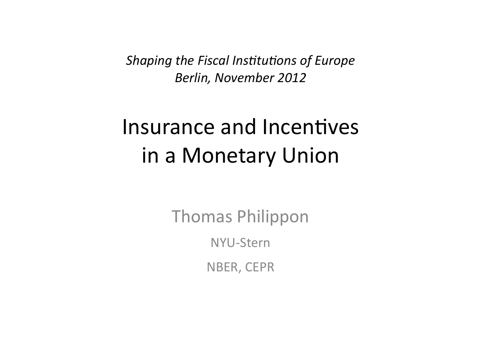**Shaping the Fiscal Institutions of Europe** Berlin, November 2012

# Insurance and Incentives in a Monetary Union

**Thomas Philippon NYU-Stern** NBER, CEPR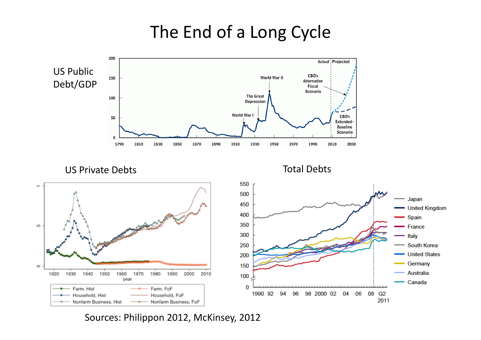#### The End of a Long Cycle



Sources: Philippon 2012, McKinsey, 2012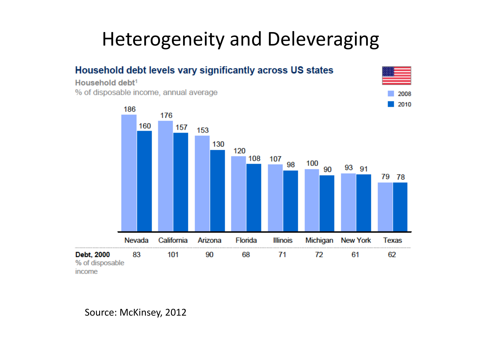# Heterogeneity and Deleveraging



#### Source: McKinsey, 2012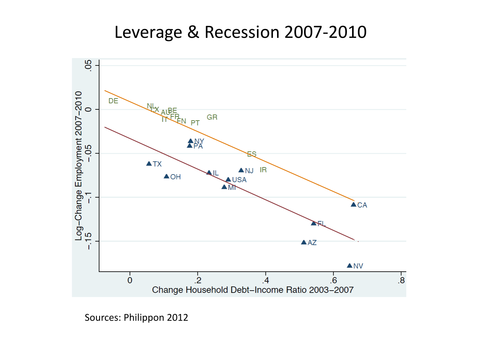#### Leverage & Recession 2007-2010



Sources: Philippon 2012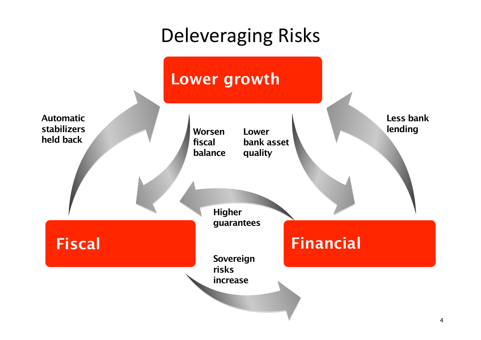# Deleveraging Risks

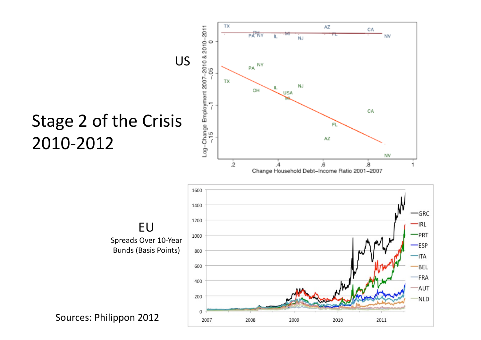# Stage 2 of the Crisis 2010-2012





US 

Sources: Philippon 2012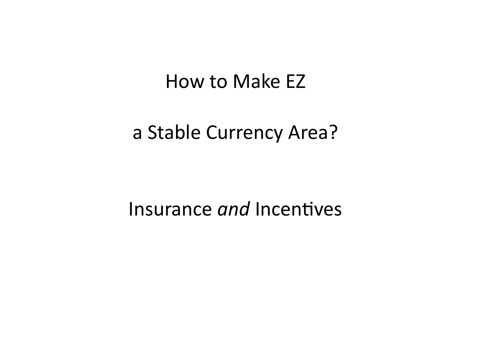#### How to Make EZ

## a Stable Currency Area?

## Insurance and Incentives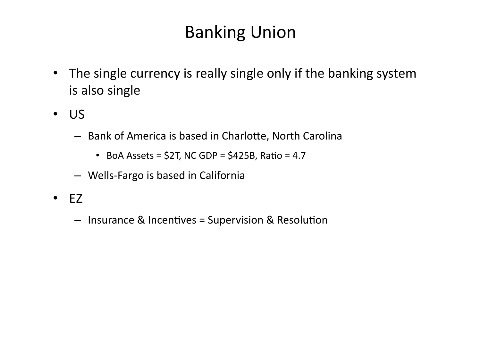## **Banking Union**

- The single currency is really single only if the banking system is also single
- US
	- Bank of America is based in Charlotte, North Carolina
		- BoA Assets =  $$2T$ , NC GDP =  $$425B$ , Ratio = 4.7
	- Wells-Fargo is based in California
- EZ
	- $-$  Insurance & Incentives = Supervision & Resolution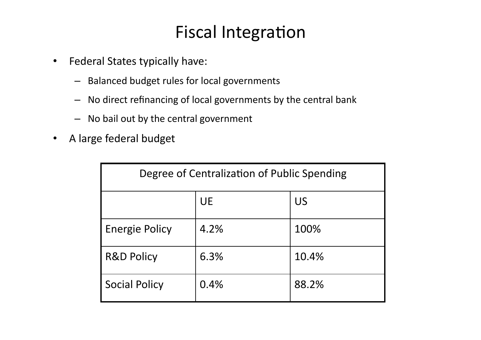#### Fiscal Integration

- Federal States typically have:
	- Balanced budget rules for local governments
	- No direct refinancing of local governments by the central bank
	- No bail out by the central government
- A large federal budget

| Degree of Centralization of Public Spending |      |       |  |  |  |  |  |
|---------------------------------------------|------|-------|--|--|--|--|--|
|                                             | UE   | US    |  |  |  |  |  |
| <b>Energie Policy</b>                       | 4.2% | 100%  |  |  |  |  |  |
| <b>R&amp;D Policy</b>                       | 6.3% | 10.4% |  |  |  |  |  |
| <b>Social Policy</b>                        | 0.4% | 88.2% |  |  |  |  |  |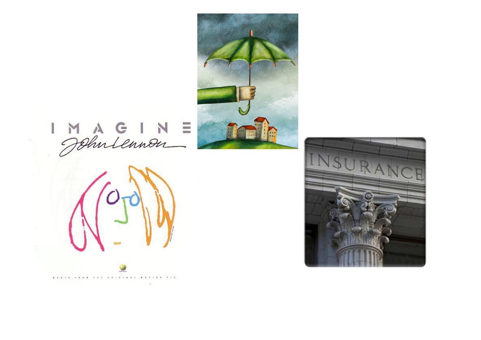

IMAGINE<br>Jehnlennen



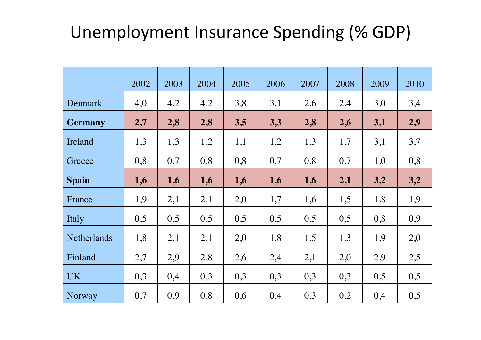## Unemployment Insurance Spending (% GDP)

|                | 2002 | 2003 | 2004 | 2005 | 2006 | 2007 | 2008 | 2009 | 2010 |
|----------------|------|------|------|------|------|------|------|------|------|
| <b>Denmark</b> | 4,0  | 4,2  | 4,2  | 3,8  | 3,1  | 2,6  | 2,4  | 3,0  | 3,4  |
| <b>Germany</b> | 2,7  | 2,8  | 2,8  | 3,5  | 3,3  | 2,8  | 2,6  | 3,1  | 2,9  |
| Ireland        | 1,3  | 1,3  | 1,2  | 1,1  | 1,2  | 1,3  | 1,7  | 3,1  | 3,7  |
| Greece         | 0,8  | 0,7  | 0,8  | 0,8  | 0,7  | 0,8  | 0,7  | 1,0  | 0,8  |
| <b>Spain</b>   | 1,6  | 1,6  | 1,6  | 1,6  | 1,6  | 1,6  | 2,1  | 3,2  | 3,2  |
| France         | 1,9  | 2,1  | 2,1  | 2,0  | 1,7  | 1,6  | 1,5  | 1,8  | 1,9  |
| Italy          | 0,5  | 0,5  | 0,5  | 0,5  | 0,5  | 0,5  | 0,5  | 0,8  | 0,9  |
| Netherlands    | 1,8  | 2,1  | 2,1  | 2,0  | 1,8  | 1,5  | 1,3  | 1,9  | 2,0  |
| Finland        | 2,7  | 2,9  | 2,8  | 2,6  | 2,4  | 2,1  | 2,0  | 2,9  | 2,5  |
| <b>UK</b>      | 0,3  | 0,4  | 0,3  | 0,3  | 0,3  | 0,3  | 0,3  | 0,5  | 0,5  |
| Norway         | 0,7  | 0.9  | 0,8  | 0,6  | 0,4  | 0,3  | 0,2  | 0,4  | 0,5  |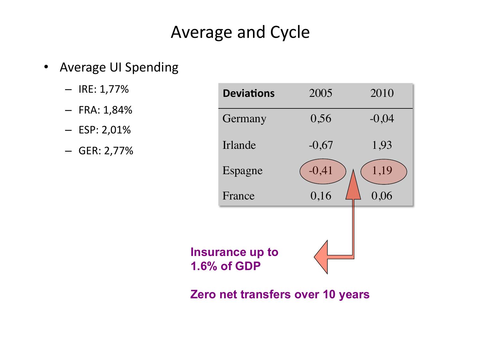## Average and Cycle

- Average UI Spending
	- $-$  IRE: 1,77%
	- $-$  FRA:  $1,84%$
	- $-$  ESP: 2,01%
	- $-$  GER: 2,77%



**Zero net transfers over 10 years**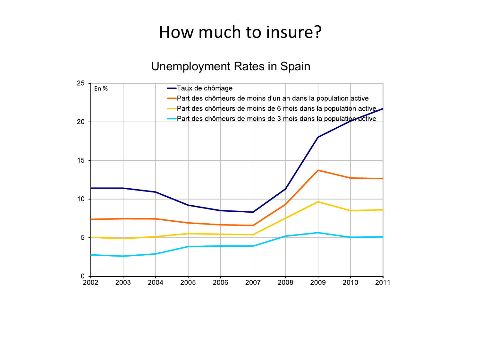#### How much to insure?

#### Unemployment Rates in Spain